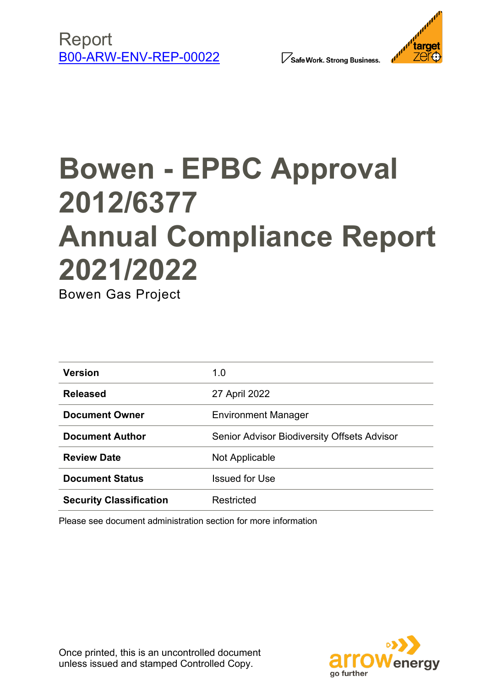





# **Bowen - EPBC Approval 2012/6377 Annual Compliance Report 2021/2022**

Bowen Gas Project

| <b>Version</b>                 | 1.0                                                |
|--------------------------------|----------------------------------------------------|
| <b>Released</b>                | 27 April 2022                                      |
| <b>Document Owner</b>          | <b>Environment Manager</b>                         |
| <b>Document Author</b>         | <b>Senior Advisor Biodiversity Offsets Advisor</b> |
| <b>Review Date</b>             | Not Applicable                                     |
| <b>Document Status</b>         | <b>Issued for Use</b>                              |
| <b>Security Classification</b> | Restricted                                         |

Please see document administration section for more information

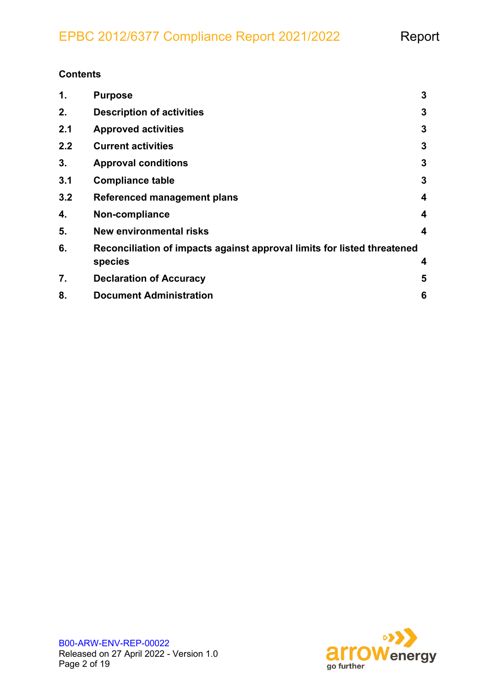#### **Contents**

| 1.  | <b>Purpose</b>                                                                     | 3                       |
|-----|------------------------------------------------------------------------------------|-------------------------|
| 2.  | <b>Description of activities</b>                                                   | 3                       |
| 2.1 | <b>Approved activities</b>                                                         | 3                       |
| 2.2 | <b>Current activities</b>                                                          | 3                       |
| 3.  | <b>Approval conditions</b>                                                         | 3                       |
| 3.1 | <b>Compliance table</b>                                                            | 3                       |
| 3.2 | <b>Referenced management plans</b>                                                 | $\overline{\mathbf{4}}$ |
| 4.  | Non-compliance                                                                     | 4                       |
| 5.  | <b>New environmental risks</b>                                                     | 4                       |
| 6.  | Reconciliation of impacts against approval limits for listed threatened<br>species | 4                       |
| 7.  | <b>Declaration of Accuracy</b>                                                     | 5                       |
| 8.  | <b>Document Administration</b>                                                     | 6                       |

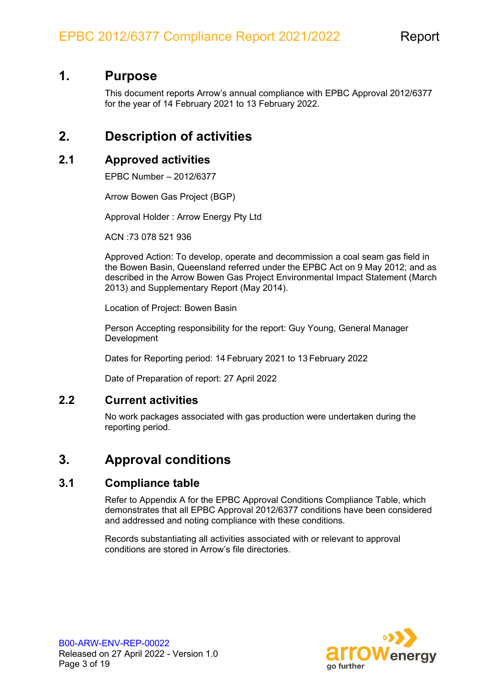#### <span id="page-2-0"></span>**1. Purpose**

This document reports Arrow's annual compliance with EPBC Approval 2012/6377 for the year of 14 February 2021 to 13 February 2022.

#### <span id="page-2-1"></span>**2. Description of activities**

#### <span id="page-2-2"></span>**2.1 Approved activities**

EPBC Number – 2012/6377

Arrow Bowen Gas Project (BGP)

Approval Holder : Arrow Energy Pty Ltd

ACN :73 078 521 936

Approved Action: To develop, operate and decommission a coal seam gas field in the Bowen Basin, Queensland referred under the EPBC Act on 9 May 2012; and as described in the Arrow Bowen Gas Project Environmental Impact Statement (March 2013) and Supplementary Report (May 2014).

Location of Project: Bowen Basin

Person Accepting responsibility for the report: Guy Young, General Manager **Development** 

Dates for Reporting period: 14 February 2021 to 13 February 2022

Date of Preparation of report: 27 April 2022

#### <span id="page-2-6"></span><span id="page-2-3"></span>**2.2 Current activities**

No work packages associated with gas production were undertaken during the reporting period.

#### <span id="page-2-4"></span>**3. Approval conditions**

#### <span id="page-2-5"></span>**3.1 Compliance table**

Refer to [Appendix A](#page-5-0) for the EPBC Approval Conditions Compliance Table, which demonstrates that all EPBC Approval 2012/6377 conditions have been considered and addressed and noting compliance with these conditions.

Records substantiating all activities associated with or relevant to approval conditions are stored in Arrow's file directories.

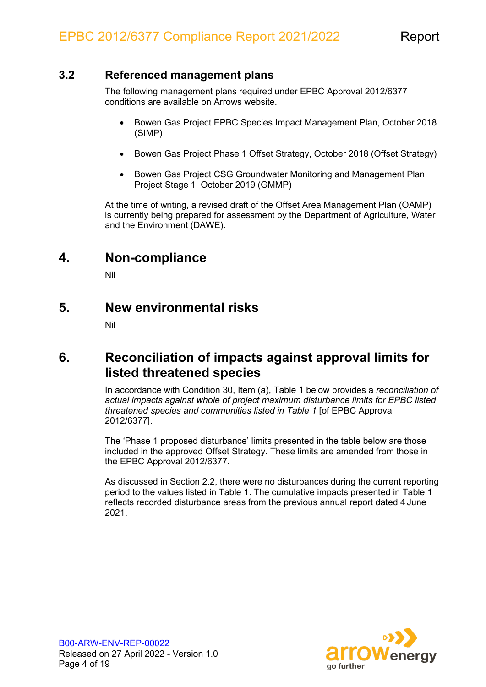#### <span id="page-3-0"></span>**3.2 Referenced management plans**

The following management plans required under EPBC Approval 2012/6377 conditions are available on Arrows website.

- Bowen Gas Project EPBC Species Impact Management Plan, October 2018 (SIMP)
- Bowen Gas Project Phase 1 Offset Strategy, October 2018 (Offset Strategy)
- Bowen Gas Project CSG Groundwater Monitoring and Management Plan Project Stage 1, October 2019 (GMMP)

At the time of writing, a revised draft of the Offset Area Management Plan (OAMP) is currently being prepared for assessment by the Department of Agriculture, Water and the Environment (DAWE).

#### <span id="page-3-1"></span>**4. Non-compliance**

Nil

#### <span id="page-3-2"></span>**5. New environmental risks**

Nil

#### <span id="page-3-5"></span><span id="page-3-3"></span>**6. Reconciliation of impacts against approval limits for listed threatened species**

In accordance with Condition 30, Item (a), [Table 1](#page-3-4) below provides a *reconciliation of actual impacts against whole of project maximum disturbance limits for EPBC listed threatened species and communities listed in Table 1* [of EPBC Approval 2012/6377].

The 'Phase 1 proposed disturbance' limits presented in the table below are those included in the approved Offset Strategy. These limits are amended from those in the EPBC Approval 2012/6377.

<span id="page-3-4"></span>As discussed in Section [2.2,](#page-2-3) there were no disturbances during the current reporting period to the values listed in [Table 1.](#page-4-1) The cumulative impacts presented in [Table 1](#page-3-4) reflects recorded disturbance areas from the previous annual report dated 4 June 2021.

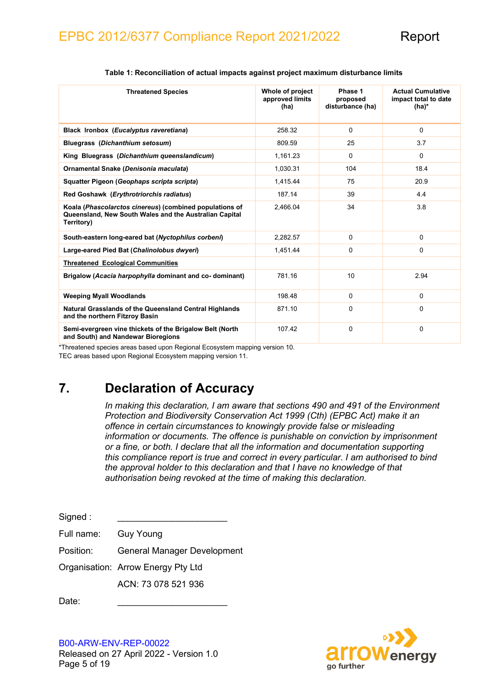<span id="page-4-1"></span>

| <b>Threatened Species</b>                                                                                                       | Whole of project<br>approved limits<br>(ha) | Phase 1<br>proposed<br>disturbance (ha) | <b>Actual Cumulative</b><br>impact total to date<br>$(ha)^*$ |
|---------------------------------------------------------------------------------------------------------------------------------|---------------------------------------------|-----------------------------------------|--------------------------------------------------------------|
| Black Ironbox (Eucalyptus raveretiana)                                                                                          | 258.32                                      | $\mathbf 0$                             | $\Omega$                                                     |
| Bluegrass (Dichanthium setosum)                                                                                                 | 809.59                                      | 25                                      | 3.7                                                          |
| King Bluegrass (Dichanthium queenslandicum)                                                                                     | 1,161.23                                    | $\Omega$                                | $\Omega$                                                     |
| Ornamental Snake (Denisonia maculata)                                                                                           | 1,030.31                                    | 104                                     | 18.4                                                         |
| Squatter Pigeon (Geophaps scripta scripta)                                                                                      | 1,415.44                                    | 75                                      | 20.9                                                         |
| Red Goshawk (Erythrotriorchis radiatus)                                                                                         | 187.14                                      | 39                                      | 4.4                                                          |
| Koala (Phascolarctos cinereus) (combined populations of<br>Queensland, New South Wales and the Australian Capital<br>Territory) | 2,466.04                                    | 34                                      | 3.8                                                          |
| South-eastern long-eared bat (Nyctophilus corbeni)                                                                              | 2.282.57                                    | $\mathbf 0$                             | $\Omega$                                                     |
| Large-eared Pied Bat (Chalinolobus dwyeri)                                                                                      | 1.451.44                                    | 0                                       | $\Omega$                                                     |
| <b>Threatened Ecological Communities</b>                                                                                        |                                             |                                         |                                                              |
| Brigalow (Acacia harpophylla dominant and co-dominant)                                                                          | 781.16                                      | 10                                      | 2.94                                                         |
| <b>Weeping Myall Woodlands</b>                                                                                                  | 198.48                                      | $\Omega$                                | $\Omega$                                                     |
| <b>Natural Grasslands of the Queensland Central Highlands</b><br>and the northern Fitzroy Basin                                 | 871.10                                      | 0                                       | 0                                                            |
| Semi-evergreen vine thickets of the Brigalow Belt (North<br>and South) and Nandewar Bioregions                                  | 107.42                                      | 0                                       | $\Omega$                                                     |

#### **Table 1: Reconciliation of actual impacts against project maximum disturbance limits**

\*Threatened species areas based upon Regional Ecosystem mapping version 10.

<span id="page-4-0"></span>TEC areas based upon Regional Ecosystem mapping version 11.

### **7. Declaration of Accuracy**

*In making this declaration, I am aware that sections 490 and 491 of the Environment Protection and Biodiversity Conservation Act 1999 (Cth) (EPBC Act) make it an offence in certain circumstances to knowingly provide false or misleading information or documents. The offence is punishable on conviction by imprisonment or a fine, or both. I declare that all the information and documentation supporting this compliance report is true and correct in every particular. I am authorised to bind the approval holder to this declaration and that I have no knowledge of that authorisation being revoked at the time of making this declaration.*

Signed : Full name: Guy Young

Position: General Manager Development

Organisation: Arrow Energy Pty Ltd

ACN: 73 078 521 936

Date:

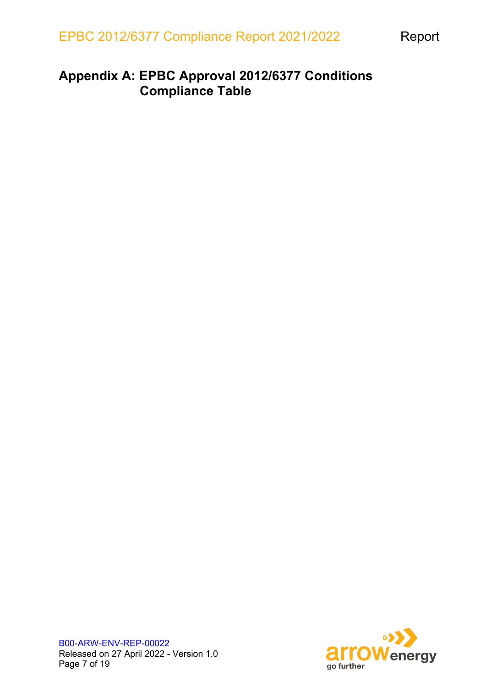### <span id="page-5-0"></span>**Appendix A: EPBC Approval 2012/6377 Conditions Compliance Table**

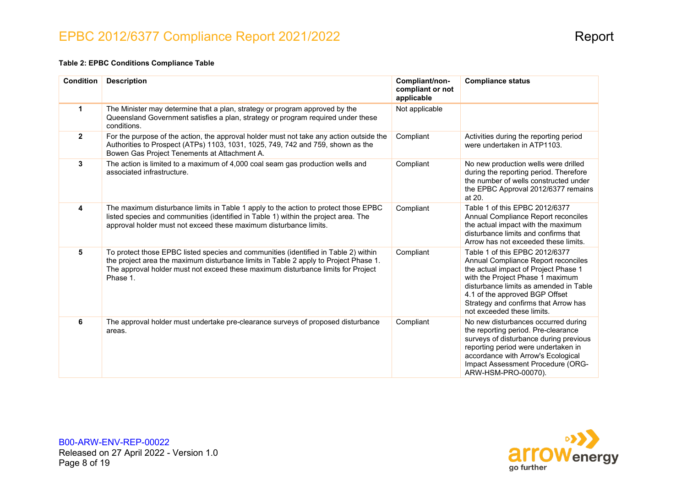#### **Table 2: EPBC Conditions Compliance Table**

| <b>Condition</b> | <b>Description</b>                                                                                                                                                                                                                                                          | Compliant/non-<br>compliant or not<br>applicable | <b>Compliance status</b>                                                                                                                                                                                                                                                                            |
|------------------|-----------------------------------------------------------------------------------------------------------------------------------------------------------------------------------------------------------------------------------------------------------------------------|--------------------------------------------------|-----------------------------------------------------------------------------------------------------------------------------------------------------------------------------------------------------------------------------------------------------------------------------------------------------|
| 1                | The Minister may determine that a plan, strategy or program approved by the<br>Queensland Government satisfies a plan, strategy or program required under these<br>conditions.                                                                                              | Not applicable                                   |                                                                                                                                                                                                                                                                                                     |
| $\mathbf{2}$     | For the purpose of the action, the approval holder must not take any action outside the<br>Authorities to Prospect (ATPs) 1103, 1031, 1025, 749, 742 and 759, shown as the<br>Bowen Gas Project Tenements at Attachment A.                                                  | Compliant                                        | Activities during the reporting period<br>were undertaken in ATP1103.                                                                                                                                                                                                                               |
| 3                | The action is limited to a maximum of 4,000 coal seam gas production wells and<br>associated infrastructure.                                                                                                                                                                | Compliant                                        | No new production wells were drilled<br>during the reporting period. Therefore<br>the number of wells constructed under<br>the EPBC Approval 2012/6377 remains<br>at 20.                                                                                                                            |
| 4                | The maximum disturbance limits in Table 1 apply to the action to protect those EPBC<br>listed species and communities (identified in Table 1) within the project area. The<br>approval holder must not exceed these maximum disturbance limits.                             | Compliant                                        | Table 1 of this EPBC 2012/6377<br>Annual Compliance Report reconciles<br>the actual impact with the maximum<br>disturbance limits and confirms that<br>Arrow has not exceeded these limits.                                                                                                         |
| 5                | To protect those EPBC listed species and communities (identified in Table 2) within<br>the project area the maximum disturbance limits in Table 2 apply to Project Phase 1.<br>The approval holder must not exceed these maximum disturbance limits for Project<br>Phase 1. | Compliant                                        | Table 1 of this EPBC 2012/6377<br>Annual Compliance Report reconciles<br>the actual impact of Project Phase 1<br>with the Project Phase 1 maximum<br>disturbance limits as amended in Table<br>4.1 of the approved BGP Offset<br>Strategy and confirms that Arrow has<br>not exceeded these limits. |
| 6                | The approval holder must undertake pre-clearance surveys of proposed disturbance<br>areas.                                                                                                                                                                                  | Compliant                                        | No new disturbances occurred during<br>the reporting period. Pre-clearance<br>surveys of disturbance during previous<br>reporting period were undertaken in<br>accordance with Arrow's Ecological<br>Impact Assessment Procedure (ORG-<br>ARW-HSM-PRO-00070).                                       |

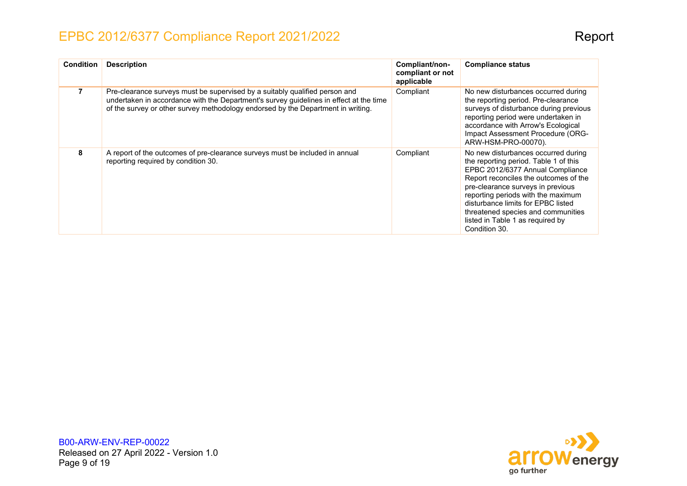| <b>Condition</b> | <b>Description</b>                                                                                                                                                                                                                                        | Compliant/non-<br>compliant or not<br>applicable | <b>Compliance status</b>                                                                                                                                                                                                                                                                                                                                              |
|------------------|-----------------------------------------------------------------------------------------------------------------------------------------------------------------------------------------------------------------------------------------------------------|--------------------------------------------------|-----------------------------------------------------------------------------------------------------------------------------------------------------------------------------------------------------------------------------------------------------------------------------------------------------------------------------------------------------------------------|
|                  | Pre-clearance surveys must be supervised by a suitably qualified person and<br>undertaken in accordance with the Department's survey guidelines in effect at the time<br>of the survey or other survey methodology endorsed by the Department in writing. | Compliant                                        | No new disturbances occurred during<br>the reporting period. Pre-clearance<br>surveys of disturbance during previous<br>reporting period were undertaken in<br>accordance with Arrow's Ecological<br>Impact Assessment Procedure (ORG-<br>ARW-HSM-PRO-00070).                                                                                                         |
| 8                | A report of the outcomes of pre-clearance surveys must be included in annual<br>reporting required by condition 30.                                                                                                                                       | Compliant                                        | No new disturbances occurred during<br>the reporting period. Table 1 of this<br>EPBC 2012/6377 Annual Compliance<br>Report reconciles the outcomes of the<br>pre-clearance surveys in previous<br>reporting periods with the maximum<br>disturbance limits for EPBC listed<br>threatened species and communities<br>listed in Table 1 as required by<br>Condition 30. |



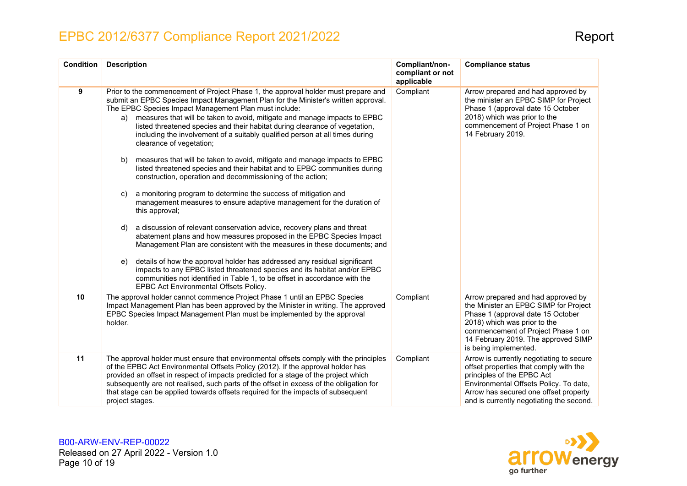| <b>Condition</b> | <b>Description</b>                                                                                                                                                                                                                                                                                                                                                                                                                                                                                              | Compliant/non-<br>compliant or not<br>applicable | <b>Compliance status</b>                                                                                                                                                                                                                               |
|------------------|-----------------------------------------------------------------------------------------------------------------------------------------------------------------------------------------------------------------------------------------------------------------------------------------------------------------------------------------------------------------------------------------------------------------------------------------------------------------------------------------------------------------|--------------------------------------------------|--------------------------------------------------------------------------------------------------------------------------------------------------------------------------------------------------------------------------------------------------------|
| 9                | Prior to the commencement of Project Phase 1, the approval holder must prepare and<br>submit an EPBC Species Impact Management Plan for the Minister's written approval.<br>The EPBC Species Impact Management Plan must include:<br>measures that will be taken to avoid, mitigate and manage impacts to EPBC<br>a)<br>listed threatened species and their habitat during clearance of vegetation,<br>including the involvement of a suitably qualified person at all times during<br>clearance of vegetation; | Compliant                                        | Arrow prepared and had approved by<br>the minister an EPBC SIMP for Project<br>Phase 1 (approval date 15 October<br>2018) which was prior to the<br>commencement of Project Phase 1 on<br>14 February 2019.                                            |
|                  | measures that will be taken to avoid, mitigate and manage impacts to EPBC<br>b)<br>listed threatened species and their habitat and to EPBC communities during<br>construction, operation and decommissioning of the action;                                                                                                                                                                                                                                                                                     |                                                  |                                                                                                                                                                                                                                                        |
|                  | a monitoring program to determine the success of mitigation and<br>C)<br>management measures to ensure adaptive management for the duration of<br>this approval;                                                                                                                                                                                                                                                                                                                                                |                                                  |                                                                                                                                                                                                                                                        |
|                  | a discussion of relevant conservation advice, recovery plans and threat<br>d)<br>abatement plans and how measures proposed in the EPBC Species Impact<br>Management Plan are consistent with the measures in these documents; and                                                                                                                                                                                                                                                                               |                                                  |                                                                                                                                                                                                                                                        |
|                  | details of how the approval holder has addressed any residual significant<br>e)<br>impacts to any EPBC listed threatened species and its habitat and/or EPBC<br>communities not identified in Table 1, to be offset in accordance with the<br>EPBC Act Environmental Offsets Policy.                                                                                                                                                                                                                            |                                                  |                                                                                                                                                                                                                                                        |
| 10 <sup>1</sup>  | The approval holder cannot commence Project Phase 1 until an EPBC Species<br>Impact Management Plan has been approved by the Minister in writing. The approved<br>EPBC Species Impact Management Plan must be implemented by the approval<br>holder.                                                                                                                                                                                                                                                            | Compliant                                        | Arrow prepared and had approved by<br>the Minister an EPBC SIMP for Project<br>Phase 1 (approval date 15 October<br>2018) which was prior to the<br>commencement of Project Phase 1 on<br>14 February 2019. The approved SIMP<br>is being implemented. |
| 11               | The approval holder must ensure that environmental offsets comply with the principles<br>of the EPBC Act Environmental Offsets Policy (2012). If the approval holder has<br>provided an offset in respect of impacts predicted for a stage of the project which<br>subsequently are not realised, such parts of the offset in excess of the obligation for<br>that stage can be applied towards offsets required for the impacts of subsequent<br>project stages.                                               | Compliant                                        | Arrow is currently negotiating to secure<br>offset properties that comply with the<br>principles of the EPBC Act<br>Environmental Offsets Policy. To date,<br>Arrow has secured one offset property<br>and is currently negotiating the second.        |

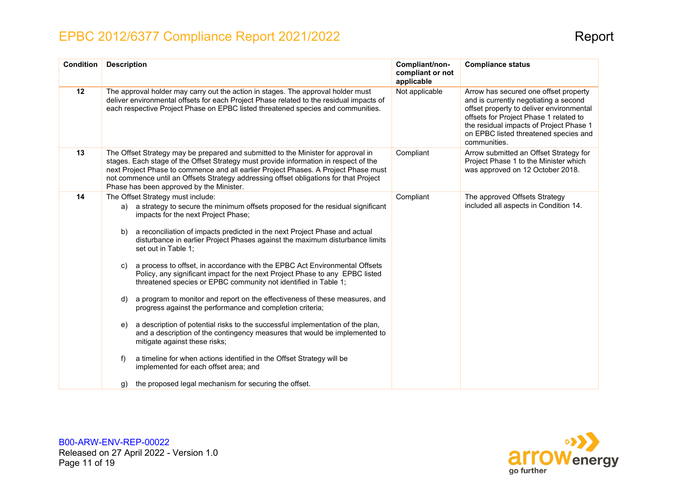| <b>Condition</b> | <b>Description</b>                                                                                                                                                                                                                                                                                                                                                                                                                                                                                                                                                                                                                                                                                                                                                                                                                                                                                                                                                                                                                                                                                                                                 | Compliant/non-<br>compliant or not<br>applicable | <b>Compliance status</b>                                                                                                                                                                                                                                                 |
|------------------|----------------------------------------------------------------------------------------------------------------------------------------------------------------------------------------------------------------------------------------------------------------------------------------------------------------------------------------------------------------------------------------------------------------------------------------------------------------------------------------------------------------------------------------------------------------------------------------------------------------------------------------------------------------------------------------------------------------------------------------------------------------------------------------------------------------------------------------------------------------------------------------------------------------------------------------------------------------------------------------------------------------------------------------------------------------------------------------------------------------------------------------------------|--------------------------------------------------|--------------------------------------------------------------------------------------------------------------------------------------------------------------------------------------------------------------------------------------------------------------------------|
| 12               | The approval holder may carry out the action in stages. The approval holder must<br>deliver environmental offsets for each Project Phase related to the residual impacts of<br>each respective Project Phase on EPBC listed threatened species and communities.                                                                                                                                                                                                                                                                                                                                                                                                                                                                                                                                                                                                                                                                                                                                                                                                                                                                                    | Not applicable                                   | Arrow has secured one offset property<br>and is currently negotiating a second<br>offset property to deliver environmental<br>offsets for Project Phase 1 related to<br>the residual impacts of Project Phase 1<br>on EPBC listed threatened species and<br>communities. |
| 13               | The Offset Strategy may be prepared and submitted to the Minister for approval in<br>stages. Each stage of the Offset Strategy must provide information in respect of the<br>next Project Phase to commence and all earlier Project Phases. A Project Phase must<br>not commence until an Offsets Strategy addressing offset obligations for that Project<br>Phase has been approved by the Minister.                                                                                                                                                                                                                                                                                                                                                                                                                                                                                                                                                                                                                                                                                                                                              | Compliant                                        | Arrow submitted an Offset Strategy for<br>Project Phase 1 to the Minister which<br>was approved on 12 October 2018.                                                                                                                                                      |
| 14               | The Offset Strategy must include:<br>a strategy to secure the minimum offsets proposed for the residual significant<br>a)<br>impacts for the next Project Phase;<br>a reconciliation of impacts predicted in the next Project Phase and actual<br>b)<br>disturbance in earlier Project Phases against the maximum disturbance limits<br>set out in Table 1;<br>a process to offset, in accordance with the EPBC Act Environmental Offsets<br>C)<br>Policy, any significant impact for the next Project Phase to any EPBC listed<br>threatened species or EPBC community not identified in Table 1;<br>a program to monitor and report on the effectiveness of these measures, and<br>d)<br>progress against the performance and completion criteria;<br>a description of potential risks to the successful implementation of the plan,<br>e)<br>and a description of the contingency measures that would be implemented to<br>mitigate against these risks;<br>a timeline for when actions identified in the Offset Strategy will be<br>f)<br>implemented for each offset area; and<br>the proposed legal mechanism for securing the offset.<br>g) | Compliant                                        | The approved Offsets Strategy<br>included all aspects in Condition 14.                                                                                                                                                                                                   |

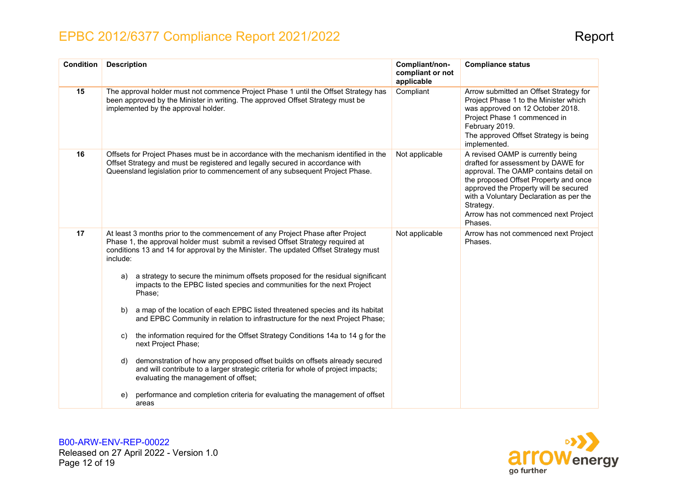| <b>Condition</b> | <b>Description</b>                                                                                                                                                                                                                                                  | Compliant/non-<br>compliant or not<br>applicable | <b>Compliance status</b>                                                                                                                                                                                                                                                                                      |
|------------------|---------------------------------------------------------------------------------------------------------------------------------------------------------------------------------------------------------------------------------------------------------------------|--------------------------------------------------|---------------------------------------------------------------------------------------------------------------------------------------------------------------------------------------------------------------------------------------------------------------------------------------------------------------|
| 15               | The approval holder must not commence Project Phase 1 until the Offset Strategy has<br>been approved by the Minister in writing. The approved Offset Strategy must be<br>implemented by the approval holder.                                                        | Compliant                                        | Arrow submitted an Offset Strategy for<br>Project Phase 1 to the Minister which<br>was approved on 12 October 2018.<br>Project Phase 1 commenced in<br>February 2019.<br>The approved Offset Strategy is being<br>implemented.                                                                                |
| 16               | Offsets for Project Phases must be in accordance with the mechanism identified in the<br>Offset Strategy and must be registered and legally secured in accordance with<br>Queensland legislation prior to commencement of any subsequent Project Phase.             | Not applicable                                   | A revised OAMP is currently being<br>drafted for assessment by DAWE for<br>approval. The OAMP contains detail on<br>the proposed Offset Property and once<br>approved the Property will be secured<br>with a Voluntary Declaration as per the<br>Strategy.<br>Arrow has not commenced next Project<br>Phases. |
| 17               | At least 3 months prior to the commencement of any Project Phase after Project<br>Phase 1, the approval holder must submit a revised Offset Strategy required at<br>conditions 13 and 14 for approval by the Minister. The updated Offset Strategy must<br>include: | Not applicable                                   | Arrow has not commenced next Project<br>Phases.                                                                                                                                                                                                                                                               |
|                  | a strategy to secure the minimum offsets proposed for the residual significant<br>a)<br>impacts to the EPBC listed species and communities for the next Project<br>Phase:                                                                                           |                                                  |                                                                                                                                                                                                                                                                                                               |
|                  | a map of the location of each EPBC listed threatened species and its habitat<br>b)<br>and EPBC Community in relation to infrastructure for the next Project Phase;                                                                                                  |                                                  |                                                                                                                                                                                                                                                                                                               |
|                  | the information required for the Offset Strategy Conditions 14a to 14 g for the<br>C)<br>next Project Phase;                                                                                                                                                        |                                                  |                                                                                                                                                                                                                                                                                                               |
|                  | demonstration of how any proposed offset builds on offsets already secured<br>d)<br>and will contribute to a larger strategic criteria for whole of project impacts;<br>evaluating the management of offset;                                                        |                                                  |                                                                                                                                                                                                                                                                                                               |
|                  | performance and completion criteria for evaluating the management of offset<br>e)<br>areas                                                                                                                                                                          |                                                  |                                                                                                                                                                                                                                                                                                               |

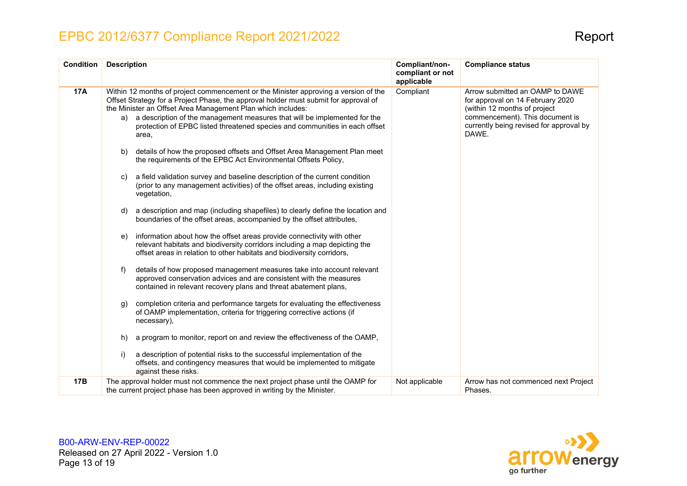| <b>Condition</b> | <b>Description</b>                                                                                                                                                                                                                                                                                                                                                                                                                                                                                                                                                                                                                                                                                                                                                                                                                                                                                                                                                                                                                                                                                                                                                                                                                                                                                                                                                                                                                                                                                                                                                                                                                                                                                                                                    | Compliant/non-<br>compliant or not<br>applicable | <b>Compliance status</b>                                                                                                                                                                   |
|------------------|-------------------------------------------------------------------------------------------------------------------------------------------------------------------------------------------------------------------------------------------------------------------------------------------------------------------------------------------------------------------------------------------------------------------------------------------------------------------------------------------------------------------------------------------------------------------------------------------------------------------------------------------------------------------------------------------------------------------------------------------------------------------------------------------------------------------------------------------------------------------------------------------------------------------------------------------------------------------------------------------------------------------------------------------------------------------------------------------------------------------------------------------------------------------------------------------------------------------------------------------------------------------------------------------------------------------------------------------------------------------------------------------------------------------------------------------------------------------------------------------------------------------------------------------------------------------------------------------------------------------------------------------------------------------------------------------------------------------------------------------------------|--------------------------------------------------|--------------------------------------------------------------------------------------------------------------------------------------------------------------------------------------------|
| <b>17A</b>       | Within 12 months of project commencement or the Minister approving a version of the<br>Offset Strategy for a Project Phase, the approval holder must submit for approval of<br>the Minister an Offset Area Management Plan which includes:<br>a description of the management measures that will be implemented for the<br>a)<br>protection of EPBC listed threatened species and communities in each offset<br>area.<br>details of how the proposed offsets and Offset Area Management Plan meet<br>b)<br>the requirements of the EPBC Act Environmental Offsets Policy,<br>a field validation survey and baseline description of the current condition<br>C)<br>(prior to any management activities) of the offset areas, including existing<br>vegetation,<br>a description and map (including shapefiles) to clearly define the location and<br>d)<br>boundaries of the offset areas, accompanied by the offset attributes,<br>information about how the offset areas provide connectivity with other<br>e)<br>relevant habitats and biodiversity corridors including a map depicting the<br>offset areas in relation to other habitats and biodiversity corridors,<br>details of how proposed management measures take into account relevant<br>f)<br>approved conservation advices and are consistent with the measures<br>contained in relevant recovery plans and threat abatement plans,<br>completion criteria and performance targets for evaluating the effectiveness<br>g)<br>of OAMP implementation, criteria for triggering corrective actions (if<br>necessary),<br>a program to monitor, report on and review the effectiveness of the OAMP,<br>h)<br>a description of potential risks to the successful implementation of the<br>i) | Compliant                                        | Arrow submitted an OAMP to DAWE<br>for approval on 14 February 2020<br>(within 12 months of project<br>commencement). This document is<br>currently being revised for approval by<br>DAWE. |
|                  | offsets, and contingency measures that would be implemented to mitigate<br>against these risks.                                                                                                                                                                                                                                                                                                                                                                                                                                                                                                                                                                                                                                                                                                                                                                                                                                                                                                                                                                                                                                                                                                                                                                                                                                                                                                                                                                                                                                                                                                                                                                                                                                                       |                                                  |                                                                                                                                                                                            |
| 17B              | The approval holder must not commence the next project phase until the OAMP for<br>the current project phase has been approved in writing by the Minister.                                                                                                                                                                                                                                                                                                                                                                                                                                                                                                                                                                                                                                                                                                                                                                                                                                                                                                                                                                                                                                                                                                                                                                                                                                                                                                                                                                                                                                                                                                                                                                                            | Not applicable                                   | Arrow has not commenced next Project<br>Phases.                                                                                                                                            |

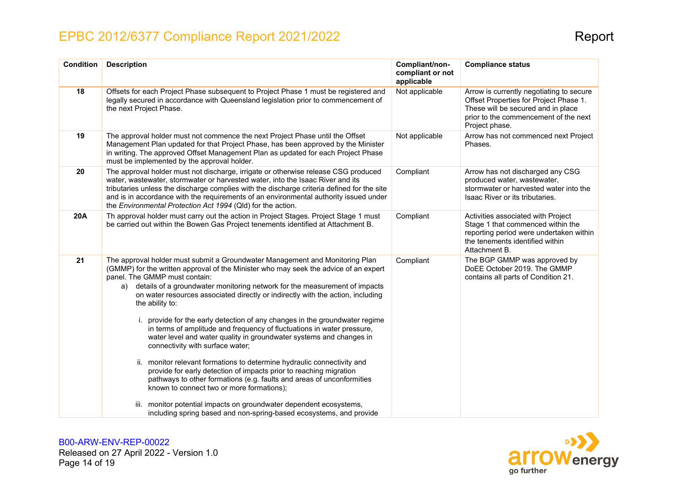| <b>Condition</b> | <b>Description</b>                                                                                                                                                                                                                                                                                                                                                                                                                                                                                                                                                                                                                                                                                                                                                                                                                                                                                                                   | Compliant/non-<br>compliant or not<br>applicable | <b>Compliance status</b>                                                                                                                                                            |
|------------------|--------------------------------------------------------------------------------------------------------------------------------------------------------------------------------------------------------------------------------------------------------------------------------------------------------------------------------------------------------------------------------------------------------------------------------------------------------------------------------------------------------------------------------------------------------------------------------------------------------------------------------------------------------------------------------------------------------------------------------------------------------------------------------------------------------------------------------------------------------------------------------------------------------------------------------------|--------------------------------------------------|-------------------------------------------------------------------------------------------------------------------------------------------------------------------------------------|
| 18               | Offsets for each Project Phase subsequent to Project Phase 1 must be registered and<br>legally secured in accordance with Queensland legislation prior to commencement of<br>the next Project Phase.                                                                                                                                                                                                                                                                                                                                                                                                                                                                                                                                                                                                                                                                                                                                 | Not applicable                                   | Arrow is currently negotiating to secure<br>Offset Properties for Project Phase 1.<br>These will be secured and in place<br>prior to the commencement of the next<br>Project phase. |
| 19               | The approval holder must not commence the next Project Phase until the Offset<br>Management Plan updated for that Project Phase, has been approved by the Minister<br>in writing. The approved Offset Management Plan as updated for each Project Phase<br>must be implemented by the approval holder.                                                                                                                                                                                                                                                                                                                                                                                                                                                                                                                                                                                                                               | Not applicable                                   | Arrow has not commenced next Project<br>Phases.                                                                                                                                     |
| 20               | The approval holder must not discharge, irrigate or otherwise release CSG produced<br>water, wastewater, stormwater or harvested water, into the Isaac River and its<br>tributaries unless the discharge complies with the discharge criteria defined for the site<br>and is in accordance with the requirements of an environmental authority issued under<br>the Environmental Protection Act 1994 (Qld) for the action.                                                                                                                                                                                                                                                                                                                                                                                                                                                                                                           | Compliant                                        | Arrow has not discharged any CSG<br>produced water, wastewater,<br>stormwater or harvested water into the<br>Isaac River or its tributaries.                                        |
| <b>20A</b>       | Th approval holder must carry out the action in Project Stages. Project Stage 1 must<br>be carried out within the Bowen Gas Project tenements identified at Attachment B.                                                                                                                                                                                                                                                                                                                                                                                                                                                                                                                                                                                                                                                                                                                                                            | Compliant                                        | Activities associated with Project<br>Stage 1 that commenced within the<br>reporting period were undertaken within<br>the tenements identified within<br>Attachment B.              |
| 21               | The approval holder must submit a Groundwater Management and Monitoring Plan<br>(GMMP) for the written approval of the Minister who may seek the advice of an expert<br>panel. The GMMP must contain:<br>a) details of a groundwater monitoring network for the measurement of impacts<br>on water resources associated directly or indirectly with the action, including<br>the ability to:<br>provide for the early detection of any changes in the groundwater regime<br>in terms of amplitude and frequency of fluctuations in water pressure,<br>water level and water quality in groundwater systems and changes in<br>connectivity with surface water;<br>ii. monitor relevant formations to determine hydraulic connectivity and<br>provide for early detection of impacts prior to reaching migration<br>pathways to other formations (e.g. faults and areas of unconformities<br>known to connect two or more formations); | Compliant                                        | The BGP GMMP was approved by<br>DoEE October 2019. The GMMP<br>contains all parts of Condition 21.                                                                                  |
|                  | iii. monitor potential impacts on groundwater dependent ecosystems,<br>including spring based and non-spring-based ecosystems, and provide                                                                                                                                                                                                                                                                                                                                                                                                                                                                                                                                                                                                                                                                                                                                                                                           |                                                  |                                                                                                                                                                                     |

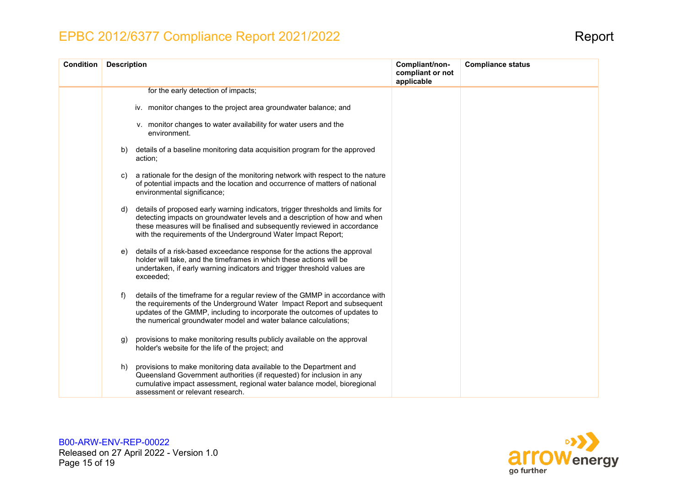| <b>Condition</b> | <b>Description</b>                                                                                                                                                                                                                                                                                              | Compliant/non-<br>compliant or not<br>applicable | <b>Compliance status</b> |
|------------------|-----------------------------------------------------------------------------------------------------------------------------------------------------------------------------------------------------------------------------------------------------------------------------------------------------------------|--------------------------------------------------|--------------------------|
|                  | for the early detection of impacts;                                                                                                                                                                                                                                                                             |                                                  |                          |
|                  | iv. monitor changes to the project area groundwater balance; and                                                                                                                                                                                                                                                |                                                  |                          |
|                  | v. monitor changes to water availability for water users and the<br>environment.                                                                                                                                                                                                                                |                                                  |                          |
|                  | details of a baseline monitoring data acquisition program for the approved<br>b)<br>action;                                                                                                                                                                                                                     |                                                  |                          |
|                  | a rationale for the design of the monitoring network with respect to the nature<br>C)<br>of potential impacts and the location and occurrence of matters of national<br>environmental significance;                                                                                                             |                                                  |                          |
|                  | details of proposed early warning indicators, trigger thresholds and limits for<br>d)<br>detecting impacts on groundwater levels and a description of how and when<br>these measures will be finalised and subsequently reviewed in accordance<br>with the requirements of the Underground Water Impact Report; |                                                  |                          |
|                  | details of a risk-based exceedance response for the actions the approval<br>e)<br>holder will take, and the timeframes in which these actions will be<br>undertaken, if early warning indicators and trigger threshold values are<br>exceeded;                                                                  |                                                  |                          |
|                  | details of the timeframe for a regular review of the GMMP in accordance with<br>f)<br>the requirements of the Underground Water Impact Report and subsequent<br>updates of the GMMP, including to incorporate the outcomes of updates to<br>the numerical groundwater model and water balance calculations;     |                                                  |                          |
|                  | provisions to make monitoring results publicly available on the approval<br>g)<br>holder's website for the life of the project; and                                                                                                                                                                             |                                                  |                          |
|                  | provisions to make monitoring data available to the Department and<br>h)<br>Queensland Government authorities (if requested) for inclusion in any<br>cumulative impact assessment, regional water balance model, bioregional<br>assessment or relevant research.                                                |                                                  |                          |

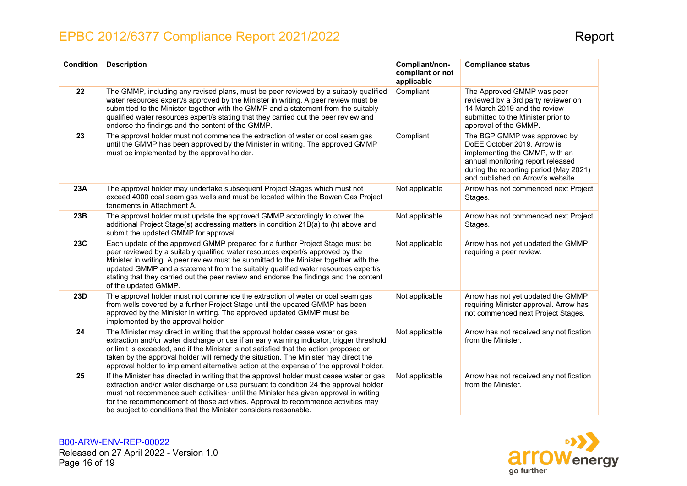| <b>Condition</b> | <b>Description</b>                                                                                                                                                                                                                                                                                                                                                                                                                                               | Compliant/non-<br>compliant or not<br>applicable | <b>Compliance status</b>                                                                                                                                                                                          |
|------------------|------------------------------------------------------------------------------------------------------------------------------------------------------------------------------------------------------------------------------------------------------------------------------------------------------------------------------------------------------------------------------------------------------------------------------------------------------------------|--------------------------------------------------|-------------------------------------------------------------------------------------------------------------------------------------------------------------------------------------------------------------------|
| 22               | The GMMP, including any revised plans, must be peer reviewed by a suitably qualified<br>water resources expert/s approved by the Minister in writing. A peer review must be<br>submitted to the Minister together with the GMMP and a statement from the suitably<br>qualified water resources expert/s stating that they carried out the peer review and<br>endorse the findings and the content of the GMMP.                                                   | Compliant                                        | The Approved GMMP was peer<br>reviewed by a 3rd party reviewer on<br>14 March 2019 and the review<br>submitted to the Minister prior to<br>approval of the GMMP.                                                  |
| 23               | The approval holder must not commence the extraction of water or coal seam gas<br>until the GMMP has been approved by the Minister in writing. The approved GMMP<br>must be implemented by the approval holder.                                                                                                                                                                                                                                                  | Compliant                                        | The BGP GMMP was approved by<br>DoEE October 2019. Arrow is<br>implementing the GMMP, with an<br>annual monitoring report released<br>during the reporting period (May 2021)<br>and published on Arrow's website. |
| 23A              | The approval holder may undertake subsequent Project Stages which must not<br>exceed 4000 coal seam gas wells and must be located within the Bowen Gas Project<br>tenements in Attachment A.                                                                                                                                                                                                                                                                     | Not applicable                                   | Arrow has not commenced next Project<br>Stages.                                                                                                                                                                   |
| 23B              | The approval holder must update the approved GMMP accordingly to cover the<br>additional Project Stage(s) addressing matters in condition 21B(a) to (h) above and<br>submit the updated GMMP for approval.                                                                                                                                                                                                                                                       | Not applicable                                   | Arrow has not commenced next Project<br>Stages.                                                                                                                                                                   |
| <b>23C</b>       | Each update of the approved GMMP prepared for a further Project Stage must be<br>peer reviewed by a suitably qualified water resources expert/s approved by the<br>Minister in writing. A peer review must be submitted to the Minister together with the<br>updated GMMP and a statement from the suitably qualified water resources expert/s<br>stating that they carried out the peer review and endorse the findings and the content<br>of the updated GMMP. | Not applicable                                   | Arrow has not yet updated the GMMP<br>requiring a peer review.                                                                                                                                                    |
| 23D              | The approval holder must not commence the extraction of water or coal seam gas<br>from wells covered by a further Project Stage until the updated GMMP has been<br>approved by the Minister in writing. The approved updated GMMP must be<br>implemented by the approval holder                                                                                                                                                                                  | Not applicable                                   | Arrow has not yet updated the GMMP<br>requiring Minister approval. Arrow has<br>not commenced next Project Stages.                                                                                                |
| 24               | The Minister may direct in writing that the approval holder cease water or gas<br>extraction and/or water discharge or use if an early warning indicator, trigger threshold<br>or limit is exceeded, and if the Minister is not satisfied that the action proposed or<br>taken by the approval holder will remedy the situation. The Minister may direct the<br>approval holder to implement alternative action at the expense of the approval holder.           | Not applicable                                   | Arrow has not received any notification<br>from the Minister.                                                                                                                                                     |
| 25               | If the Minister has directed in writing that the approval holder must cease water or gas<br>extraction and/or water discharge or use pursuant to condition 24 the approval holder<br>must not recommence such activities until the Minister has given approval in writing<br>for the recommencement of those activities. Approval to recommence activities may<br>be subject to conditions that the Minister considers reasonable.                               | Not applicable                                   | Arrow has not received any notification<br>from the Minister.                                                                                                                                                     |

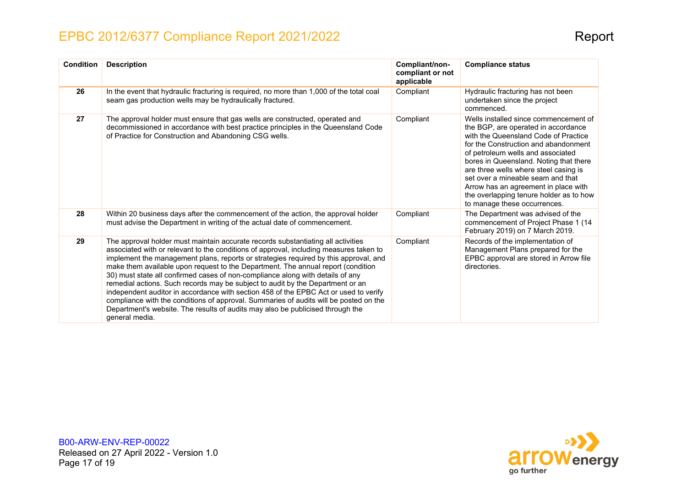| <b>Condition</b> | <b>Description</b>                                                                                                                                                                                                                                                                                                                                                                                                                                                                                                                                                                                                                                                                                                                                                                                              | Compliant/non-<br>compliant or not<br>applicable | <b>Compliance status</b>                                                                                                                                                                                                                                                                                                                                                                                                                     |
|------------------|-----------------------------------------------------------------------------------------------------------------------------------------------------------------------------------------------------------------------------------------------------------------------------------------------------------------------------------------------------------------------------------------------------------------------------------------------------------------------------------------------------------------------------------------------------------------------------------------------------------------------------------------------------------------------------------------------------------------------------------------------------------------------------------------------------------------|--------------------------------------------------|----------------------------------------------------------------------------------------------------------------------------------------------------------------------------------------------------------------------------------------------------------------------------------------------------------------------------------------------------------------------------------------------------------------------------------------------|
| 26               | In the event that hydraulic fracturing is required, no more than 1,000 of the total coal<br>seam gas production wells may be hydraulically fractured.                                                                                                                                                                                                                                                                                                                                                                                                                                                                                                                                                                                                                                                           | Compliant                                        | Hydraulic fracturing has not been<br>undertaken since the project<br>commenced.                                                                                                                                                                                                                                                                                                                                                              |
| 27               | The approval holder must ensure that gas wells are constructed, operated and<br>decommissioned in accordance with best practice principles in the Queensland Code<br>of Practice for Construction and Abandoning CSG wells.                                                                                                                                                                                                                                                                                                                                                                                                                                                                                                                                                                                     | Compliant                                        | Wells installed since commencement of<br>the BGP, are operated in accordance<br>with the Queensland Code of Practice<br>for the Construction and abandonment<br>of petroleum wells and associated<br>bores in Queensland. Noting that there<br>are three wells where steel casing is<br>set over a mineable seam and that<br>Arrow has an agreement in place with<br>the overlapping tenure holder as to how<br>to manage these occurrences. |
| 28               | Within 20 business days after the commencement of the action, the approval holder<br>must advise the Department in writing of the actual date of commencement.                                                                                                                                                                                                                                                                                                                                                                                                                                                                                                                                                                                                                                                  | Compliant                                        | The Department was advised of the<br>commencement of Project Phase 1 (14)<br>February 2019) on 7 March 2019.                                                                                                                                                                                                                                                                                                                                 |
| 29               | The approval holder must maintain accurate records substantiating all activities<br>associated with or relevant to the conditions of approval, including measures taken to<br>implement the management plans, reports or strategies required by this approval, and<br>make them available upon request to the Department. The annual report (condition<br>30) must state all confirmed cases of non-compliance along with details of any<br>remedial actions. Such records may be subject to audit by the Department or an<br>independent auditor in accordance with section 458 of the EPBC Act or used to verify<br>compliance with the conditions of approval. Summaries of audits will be posted on the<br>Department's website. The results of audits may also be publicised through the<br>general media. | Compliant                                        | Records of the implementation of<br>Management Plans prepared for the<br>EPBC approval are stored in Arrow file<br>directories.                                                                                                                                                                                                                                                                                                              |

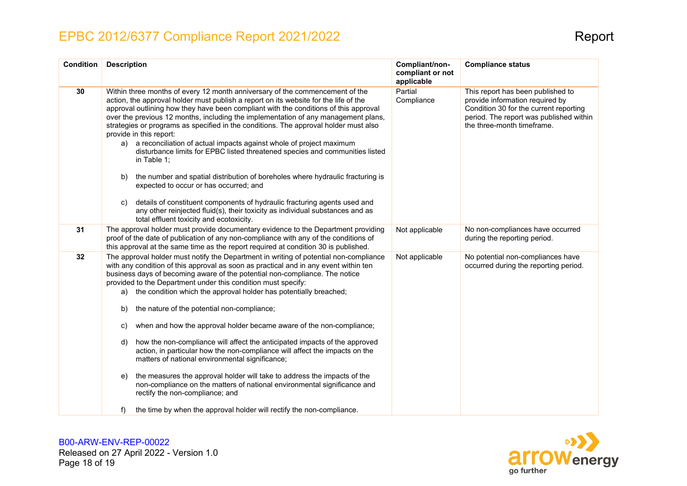| <b>Condition</b> | <b>Description</b>                                                                                                                                                                                                                                                                                                                                                                                                                                                                                                                                                                                                                                                                                                                                                                                                                                                                                                                                                                                                                                | Compliant/non-<br>compliant or not<br>applicable | <b>Compliance status</b>                                                                                                                                                                |
|------------------|---------------------------------------------------------------------------------------------------------------------------------------------------------------------------------------------------------------------------------------------------------------------------------------------------------------------------------------------------------------------------------------------------------------------------------------------------------------------------------------------------------------------------------------------------------------------------------------------------------------------------------------------------------------------------------------------------------------------------------------------------------------------------------------------------------------------------------------------------------------------------------------------------------------------------------------------------------------------------------------------------------------------------------------------------|--------------------------------------------------|-----------------------------------------------------------------------------------------------------------------------------------------------------------------------------------------|
| 30               | Within three months of every 12 month anniversary of the commencement of the<br>action, the approval holder must publish a report on its website for the life of the<br>approval outlining how they have been compliant with the conditions of this approval<br>over the previous 12 months, including the implementation of any management plans,<br>strategies or programs as specified in the conditions. The approval holder must also<br>provide in this report:<br>a reconciliation of actual impacts against whole of project maximum<br>a)<br>disturbance limits for EPBC listed threatened species and communities listed<br>in Table 1;<br>the number and spatial distribution of boreholes where hydraulic fracturing is<br>b)<br>expected to occur or has occurred; and<br>details of constituent components of hydraulic fracturing agents used and<br>C)<br>any other reinjected fluid(s), their toxicity as individual substances and as<br>total effluent toxicity and ecotoxicity.                                               | Partial<br>Compliance                            | This report has been published to<br>provide information required by<br>Condition 30 for the current reporting<br>period. The report was published within<br>the three-month timeframe. |
| 31               | The approval holder must provide documentary evidence to the Department providing<br>proof of the date of publication of any non-compliance with any of the conditions of<br>this approval at the same time as the report required at condition 30 is published.                                                                                                                                                                                                                                                                                                                                                                                                                                                                                                                                                                                                                                                                                                                                                                                  | Not applicable                                   | No non-compliances have occurred<br>during the reporting period.                                                                                                                        |
| 32               | The approval holder must notify the Department in writing of potential non-compliance<br>with any condition of this approval as soon as practical and in any event within ten<br>business days of becoming aware of the potential non-compliance. The notice<br>provided to the Department under this condition must specify:<br>the condition which the approval holder has potentially breached;<br>a)<br>the nature of the potential non-compliance;<br>b)<br>when and how the approval holder became aware of the non-compliance;<br>C)<br>how the non-compliance will affect the anticipated impacts of the approved<br>d)<br>action, in particular how the non-compliance will affect the impacts on the<br>matters of national environmental significance;<br>the measures the approval holder will take to address the impacts of the<br>e)<br>non-compliance on the matters of national environmental significance and<br>rectify the non-compliance; and<br>the time by when the approval holder will rectify the non-compliance.<br>f) | Not applicable                                   | No potential non-compliances have<br>occurred during the reporting period.                                                                                                              |